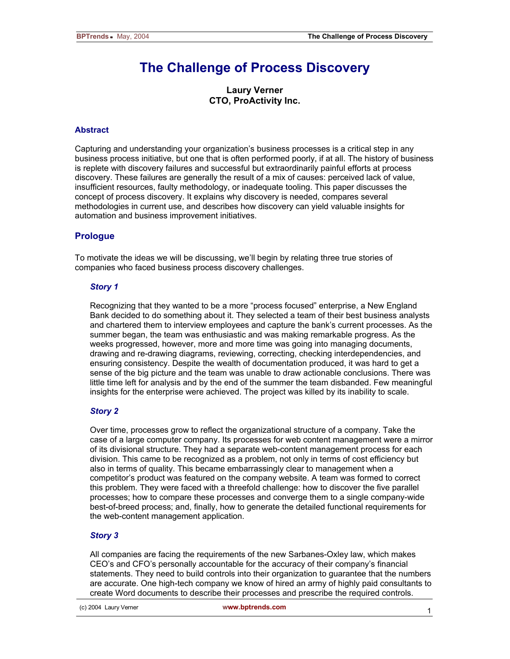# **The Challenge of Process Discovery**

**Laury Verner CTO, ProActivity Inc.** 

# **Abstract**

Capturing and understanding your organization's business processes is a critical step in any business process initiative, but one that is often performed poorly, if at all. The history of business is replete with discovery failures and successful but extraordinarily painful efforts at process discovery. These failures are generally the result of a mix of causes: perceived lack of value, insufficient resources, faulty methodology, or inadequate tooling. This paper discusses the concept of process discovery. It explains why discovery is needed, compares several methodologies in current use, and describes how discovery can yield valuable insights for automation and business improvement initiatives.

# **Prologue**

To motivate the ideas we will be discussing, we'll begin by relating three true stories of companies who faced business process discovery challenges.

#### *Story 1*

Recognizing that they wanted to be a more "process focused" enterprise, a New England Bank decided to do something about it. They selected a team of their best business analysts and chartered them to interview employees and capture the bank's current processes. As the summer began, the team was enthusiastic and was making remarkable progress. As the weeks progressed, however, more and more time was going into managing documents, drawing and re-drawing diagrams, reviewing, correcting, checking interdependencies, and ensuring consistency. Despite the wealth of documentation produced, it was hard to get a sense of the big picture and the team was unable to draw actionable conclusions. There was little time left for analysis and by the end of the summer the team disbanded. Few meaningful insights for the enterprise were achieved. The project was killed by its inability to scale.

# *Story 2*

Over time, processes grow to reflect the organizational structure of a company. Take the case of a large computer company. Its processes for web content management were a mirror of its divisional structure. They had a separate web-content management process for each division. This came to be recognized as a problem, not only in terms of cost efficiency but also in terms of quality. This became embarrassingly clear to management when a competitor's product was featured on the company website. A team was formed to correct this problem. They were faced with a threefold challenge: how to discover the five parallel processes; how to compare these processes and converge them to a single company-wide best-of-breed process; and, finally, how to generate the detailed functional requirements for the web-content management application.

# *Story 3*

All companies are facing the requirements of the new Sarbanes-Oxley law, which makes CEO's and CFO's personally accountable for the accuracy of their company's financial statements. They need to build controls into their organization to guarantee that the numbers are accurate. One high-tech company we know of hired an army of highly paid consultants to create Word documents to describe their processes and prescribe the required controls.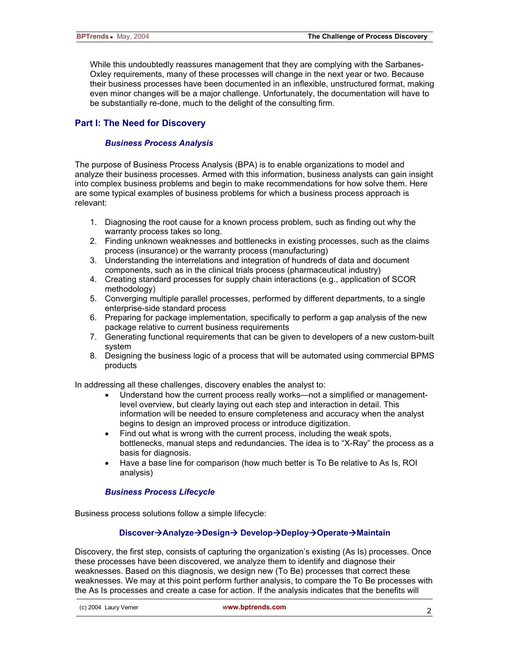While this undoubtedly reassures management that they are complying with the Sarbanes-Oxley requirements, many of these processes will change in the next year or two. Because their business processes have been documented in an inflexible, unstructured format, making even minor changes will be a major challenge. Unfortunately, the documentation will have to be substantially re-done, much to the delight of the consulting firm.

# **Part I: The Need for Discovery**

# *Business Process Analysis*

The purpose of Business Process Analysis (BPA) is to enable organizations to model and analyze their business processes. Armed with this information, business analysts can gain insight into complex business problems and begin to make recommendations for how solve them. Here are some typical examples of business problems for which a business process approach is relevant:

- 1. Diagnosing the root cause for a known process problem, such as finding out why the warranty process takes so long.
- 2. Finding unknown weaknesses and bottlenecks in existing processes, such as the claims process (insurance) or the warranty process (manufacturing)
- 3. Understanding the interrelations and integration of hundreds of data and document components, such as in the clinical trials process (pharmaceutical industry)
- 4. Creating standard processes for supply chain interactions (e.g., application of SCOR methodology)
- 5. Converging multiple parallel processes, performed by different departments, to a single enterprise-side standard process
- 6. Preparing for package implementation, specifically to perform a gap analysis of the new package relative to current business requirements
- 7. Generating functional requirements that can be given to developers of a new custom-built system
- 8. Designing the business logic of a process that will be automated using commercial BPMS products

In addressing all these challenges, discovery enables the analyst to:

- Understand how the current process really works—not a simplified or managementlevel overview, but clearly laying out each step and interaction in detail. This information will be needed to ensure completeness and accuracy when the analyst begins to design an improved process or introduce digitization.
- Find out what is wrong with the current process, including the weak spots, bottlenecks, manual steps and redundancies. The idea is to "X-Ray" the process as a basis for diagnosis.
- Have a base line for comparison (how much better is To Be relative to As Is, ROI analysis)

# *Business Process Lifecycle*

Business process solutions follow a simple lifecycle:

# **Discover→Analyze→Design→ Develop→Deploy→Operate→Maintain**

Discovery, the first step, consists of capturing the organization's existing (As Is) processes. Once these processes have been discovered, we analyze them to identify and diagnose their weaknesses. Based on this diagnosis, we design new (To Be) processes that correct these weaknesses. We may at this point perform further analysis, to compare the To Be processes with the As Is processes and create a case for action. If the analysis indicates that the benefits will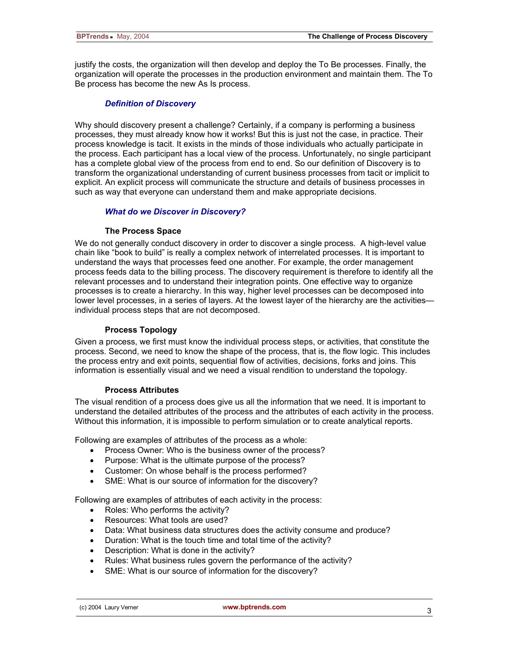justify the costs, the organization will then develop and deploy the To Be processes. Finally, the organization will operate the processes in the production environment and maintain them. The To Be process has become the new As Is process.

# *Definition of Discovery*

Why should discovery present a challenge? Certainly, if a company is performing a business processes, they must already know how it works! But this is just not the case, in practice. Their process knowledge is tacit. It exists in the minds of those individuals who actually participate in the process. Each participant has a local view of the process. Unfortunately, no single participant has a complete global view of the process from end to end. So our definition of Discovery is to transform the organizational understanding of current business processes from tacit or implicit to explicit. An explicit process will communicate the structure and details of business processes in such as way that everyone can understand them and make appropriate decisions.

# *What do we Discover in Discovery?*

#### **The Process Space**

We do not generally conduct discovery in order to discover a single process. A high-level value chain like "book to build" is really a complex network of interrelated processes. It is important to understand the ways that processes feed one another. For example, the order management process feeds data to the billing process. The discovery requirement is therefore to identify all the relevant processes and to understand their integration points. One effective way to organize processes is to create a hierarchy. In this way, higher level processes can be decomposed into lower level processes, in a series of layers. At the lowest layer of the hierarchy are the activities individual process steps that are not decomposed.

#### **Process Topology**

Given a process, we first must know the individual process steps, or activities, that constitute the process. Second, we need to know the shape of the process, that is, the flow logic. This includes the process entry and exit points, sequential flow of activities, decisions, forks and joins. This information is essentially visual and we need a visual rendition to understand the topology.

#### **Process Attributes**

The visual rendition of a process does give us all the information that we need. It is important to understand the detailed attributes of the process and the attributes of each activity in the process. Without this information, it is impossible to perform simulation or to create analytical reports.

Following are examples of attributes of the process as a whole:

- Process Owner: Who is the business owner of the process?
- Purpose: What is the ultimate purpose of the process?
- Customer: On whose behalf is the process performed?
- SME: What is our source of information for the discovery?

Following are examples of attributes of each activity in the process:

- Roles: Who performs the activity?
- Resources: What tools are used?
- Data: What business data structures does the activity consume and produce?
- Duration: What is the touch time and total time of the activity?
- Description: What is done in the activity?
- Rules: What business rules govern the performance of the activity?
- SME: What is our source of information for the discovery?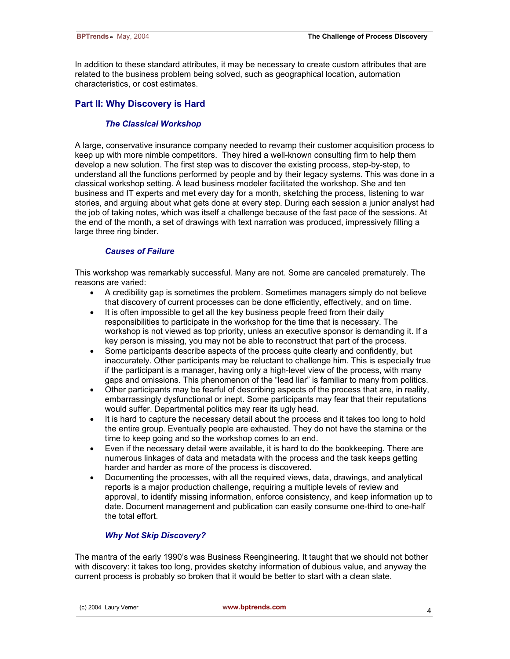In addition to these standard attributes, it may be necessary to create custom attributes that are related to the business problem being solved, such as geographical location, automation characteristics, or cost estimates.

# **Part II: Why Discovery is Hard**

# *The Classical Workshop*

A large, conservative insurance company needed to revamp their customer acquisition process to keep up with more nimble competitors. They hired a well-known consulting firm to help them develop a new solution. The first step was to discover the existing process, step-by-step, to understand all the functions performed by people and by their legacy systems. This was done in a classical workshop setting. A lead business modeler facilitated the workshop. She and ten business and IT experts and met every day for a month, sketching the process, listening to war stories, and arguing about what gets done at every step. During each session a junior analyst had the job of taking notes, which was itself a challenge because of the fast pace of the sessions. At the end of the month, a set of drawings with text narration was produced, impressively filling a large three ring binder.

# *Causes of Failure*

This workshop was remarkably successful. Many are not. Some are canceled prematurely. The reasons are varied:

- A credibility gap is sometimes the problem. Sometimes managers simply do not believe that discovery of current processes can be done efficiently, effectively, and on time.
- It is often impossible to get all the key business people freed from their daily responsibilities to participate in the workshop for the time that is necessary. The workshop is not viewed as top priority, unless an executive sponsor is demanding it. If a key person is missing, you may not be able to reconstruct that part of the process.
- Some participants describe aspects of the process quite clearly and confidently, but inaccurately. Other participants may be reluctant to challenge him. This is especially true if the participant is a manager, having only a high-level view of the process, with many gaps and omissions. This phenomenon of the "lead liar" is familiar to many from politics.
- Other participants may be fearful of describing aspects of the process that are, in reality, embarrassingly dysfunctional or inept. Some participants may fear that their reputations would suffer. Departmental politics may rear its ugly head.
- It is hard to capture the necessary detail about the process and it takes too long to hold the entire group. Eventually people are exhausted. They do not have the stamina or the time to keep going and so the workshop comes to an end.
- Even if the necessary detail were available, it is hard to do the bookkeeping. There are numerous linkages of data and metadata with the process and the task keeps getting harder and harder as more of the process is discovered.
- Documenting the processes, with all the required views, data, drawings, and analytical reports is a major production challenge, requiring a multiple levels of review and approval, to identify missing information, enforce consistency, and keep information up to date. Document management and publication can easily consume one-third to one-half the total effort.

# *Why Not Skip Discovery?*

The mantra of the early 1990's was Business Reengineering. It taught that we should not bother with discovery: it takes too long, provides sketchy information of dubious value, and anyway the current process is probably so broken that it would be better to start with a clean slate.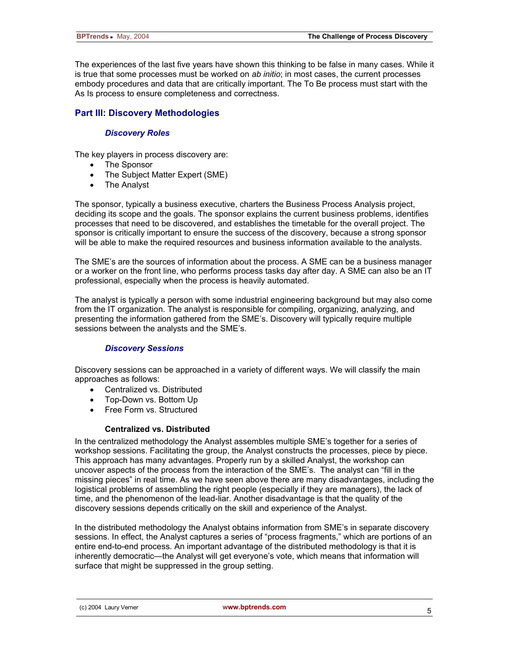The experiences of the last five years have shown this thinking to be false in many cases. While it is true that some processes must be worked on *ab initio*; in most cases, the current processes embody procedures and data that are critically important. The To Be process must start with the As Is process to ensure completeness and correctness.

# **Part III: Discovery Methodologies**

# *Discovery Roles*

The key players in process discovery are:

- The Sponsor
- The Subject Matter Expert (SME)
- The Analyst

The sponsor, typically a business executive, charters the Business Process Analysis project, deciding its scope and the goals. The sponsor explains the current business problems, identifies processes that need to be discovered, and establishes the timetable for the overall project. The sponsor is critically important to ensure the success of the discovery, because a strong sponsor will be able to make the required resources and business information available to the analysts.

The SME's are the sources of information about the process. A SME can be a business manager or a worker on the front line, who performs process tasks day after day. A SME can also be an IT professional, especially when the process is heavily automated.

The analyst is typically a person with some industrial engineering background but may also come from the IT organization. The analyst is responsible for compiling, organizing, analyzing, and presenting the information gathered from the SME's. Discovery will typically require multiple sessions between the analysts and the SME's.

# *Discovery Sessions*

Discovery sessions can be approached in a variety of different ways. We will classify the main approaches as follows:

- Centralized vs. Distributed
- Top-Down vs. Bottom Up
- Free Form vs. Structured

# **Centralized vs. Distributed**

In the centralized methodology the Analyst assembles multiple SME's together for a series of workshop sessions. Facilitating the group, the Analyst constructs the processes, piece by piece. This approach has many advantages. Properly run by a skilled Analyst, the workshop can uncover aspects of the process from the interaction of the SME's. The analyst can "fill in the missing pieces" in real time. As we have seen above there are many disadvantages, including the logistical problems of assembling the right people (especially if they are managers), the lack of time, and the phenomenon of the lead-liar. Another disadvantage is that the quality of the discovery sessions depends critically on the skill and experience of the Analyst.

In the distributed methodology the Analyst obtains information from SME's in separate discovery sessions. In effect, the Analyst captures a series of "process fragments," which are portions of an entire end-to-end process. An important advantage of the distributed methodology is that it is inherently democratic—the Analyst will get everyone's vote, which means that information will surface that might be suppressed in the group setting.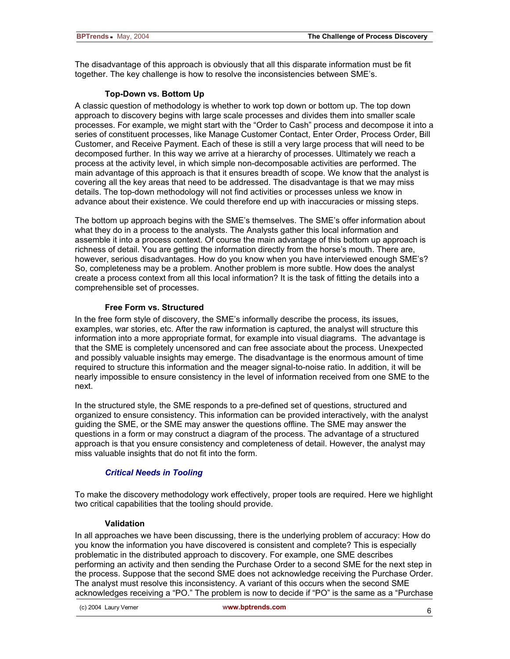The disadvantage of this approach is obviously that all this disparate information must be fit together. The key challenge is how to resolve the inconsistencies between SME's.

# **Top-Down vs. Bottom Up**

A classic question of methodology is whether to work top down or bottom up. The top down approach to discovery begins with large scale processes and divides them into smaller scale processes. For example, we might start with the "Order to Cash" process and decompose it into a series of constituent processes, like Manage Customer Contact, Enter Order, Process Order, Bill Customer, and Receive Payment. Each of these is still a very large process that will need to be decomposed further. In this way we arrive at a hierarchy of processes. Ultimately we reach a process at the activity level, in which simple non-decomposable activities are performed. The main advantage of this approach is that it ensures breadth of scope. We know that the analyst is covering all the key areas that need to be addressed. The disadvantage is that we may miss details. The top-down methodology will not find activities or processes unless we know in advance about their existence. We could therefore end up with inaccuracies or missing steps.

The bottom up approach begins with the SME's themselves. The SME's offer information about what they do in a process to the analysts. The Analysts gather this local information and assemble it into a process context. Of course the main advantage of this bottom up approach is richness of detail. You are getting the information directly from the horse's mouth. There are, however, serious disadvantages. How do you know when you have interviewed enough SME's? So, completeness may be a problem. Another problem is more subtle. How does the analyst create a process context from all this local information? It is the task of fitting the details into a comprehensible set of processes.

# **Free Form vs. Structured**

In the free form style of discovery, the SME's informally describe the process, its issues, examples, war stories, etc. After the raw information is captured, the analyst will structure this information into a more appropriate format, for example into visual diagrams. The advantage is that the SME is completely uncensored and can free associate about the process. Unexpected and possibly valuable insights may emerge. The disadvantage is the enormous amount of time required to structure this information and the meager signal-to-noise ratio. In addition, it will be nearly impossible to ensure consistency in the level of information received from one SME to the next.

In the structured style, the SME responds to a pre-defined set of questions, structured and organized to ensure consistency. This information can be provided interactively, with the analyst guiding the SME, or the SME may answer the questions offline. The SME may answer the questions in a form or may construct a diagram of the process. The advantage of a structured approach is that you ensure consistency and completeness of detail. However, the analyst may miss valuable insights that do not fit into the form.

# *Critical Needs in Tooling*

To make the discovery methodology work effectively, proper tools are required. Here we highlight two critical capabilities that the tooling should provide.

# **Validation**

In all approaches we have been discussing, there is the underlying problem of accuracy: How do you know the information you have discovered is consistent and complete? This is especially problematic in the distributed approach to discovery. For example, one SME describes performing an activity and then sending the Purchase Order to a second SME for the next step in the process. Suppose that the second SME does not acknowledge receiving the Purchase Order. The analyst must resolve this inconsistency. A variant of this occurs when the second SME acknowledges receiving a "PO." The problem is now to decide if "PO" is the same as a "Purchase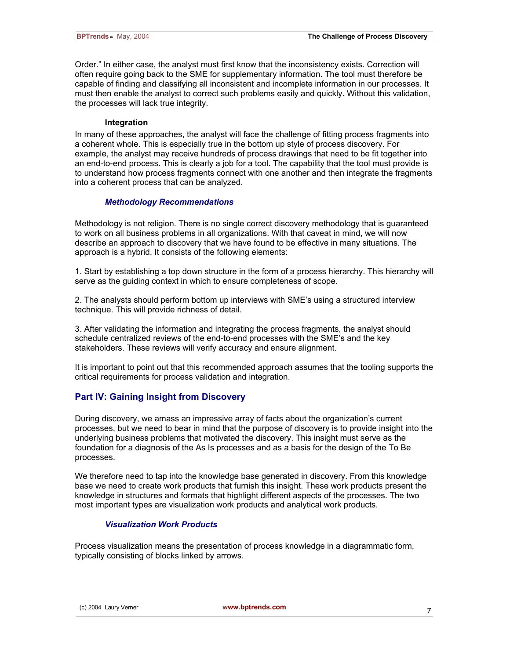Order." In either case, the analyst must first know that the inconsistency exists. Correction will often require going back to the SME for supplementary information. The tool must therefore be capable of finding and classifying all inconsistent and incomplete information in our processes. It must then enable the analyst to correct such problems easily and quickly. Without this validation, the processes will lack true integrity.

#### **Integration**

In many of these approaches, the analyst will face the challenge of fitting process fragments into a coherent whole. This is especially true in the bottom up style of process discovery. For example, the analyst may receive hundreds of process drawings that need to be fit together into an end-to-end process. This is clearly a job for a tool. The capability that the tool must provide is to understand how process fragments connect with one another and then integrate the fragments into a coherent process that can be analyzed.

# *Methodology Recommendations*

Methodology is not religion. There is no single correct discovery methodology that is guaranteed to work on all business problems in all organizations. With that caveat in mind, we will now describe an approach to discovery that we have found to be effective in many situations. The approach is a hybrid. It consists of the following elements:

1. Start by establishing a top down structure in the form of a process hierarchy. This hierarchy will serve as the guiding context in which to ensure completeness of scope.

2. The analysts should perform bottom up interviews with SME's using a structured interview technique. This will provide richness of detail.

3. After validating the information and integrating the process fragments, the analyst should schedule centralized reviews of the end-to-end processes with the SME's and the key stakeholders. These reviews will verify accuracy and ensure alignment.

It is important to point out that this recommended approach assumes that the tooling supports the critical requirements for process validation and integration.

# **Part IV: Gaining Insight from Discovery**

During discovery, we amass an impressive array of facts about the organization's current processes, but we need to bear in mind that the purpose of discovery is to provide insight into the underlying business problems that motivated the discovery. This insight must serve as the foundation for a diagnosis of the As Is processes and as a basis for the design of the To Be processes.

We therefore need to tap into the knowledge base generated in discovery. From this knowledge base we need to create work products that furnish this insight. These work products present the knowledge in structures and formats that highlight different aspects of the processes. The two most important types are visualization work products and analytical work products.

# *Visualization Work Products*

Process visualization means the presentation of process knowledge in a diagrammatic form, typically consisting of blocks linked by arrows.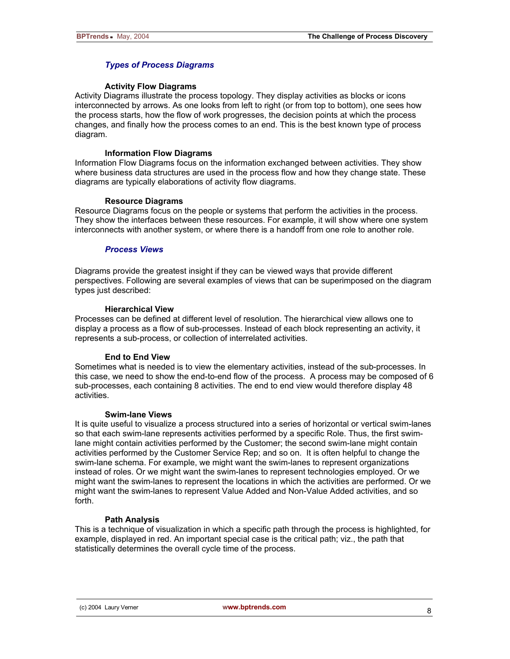# *Types of Process Diagrams*

#### **Activity Flow Diagrams**

Activity Diagrams illustrate the process topology. They display activities as blocks or icons interconnected by arrows. As one looks from left to right (or from top to bottom), one sees how the process starts, how the flow of work progresses, the decision points at which the process changes, and finally how the process comes to an end. This is the best known type of process diagram.

#### **Information Flow Diagrams**

Information Flow Diagrams focus on the information exchanged between activities. They show where business data structures are used in the process flow and how they change state. These diagrams are typically elaborations of activity flow diagrams.

#### **Resource Diagrams**

Resource Diagrams focus on the people or systems that perform the activities in the process. They show the interfaces between these resources. For example, it will show where one system interconnects with another system, or where there is a handoff from one role to another role.

#### *Process Views*

Diagrams provide the greatest insight if they can be viewed ways that provide different perspectives. Following are several examples of views that can be superimposed on the diagram types just described:

#### **Hierarchical View**

Processes can be defined at different level of resolution. The hierarchical view allows one to display a process as a flow of sub-processes. Instead of each block representing an activity, it represents a sub-process, or collection of interrelated activities.

# **End to End View**

Sometimes what is needed is to view the elementary activities, instead of the sub-processes. In this case, we need to show the end-to-end flow of the process. A process may be composed of 6 sub-processes, each containing 8 activities. The end to end view would therefore display 48 activities.

#### **Swim-lane Views**

It is quite useful to visualize a process structured into a series of horizontal or vertical swim-lanes so that each swim-lane represents activities performed by a specific Role. Thus, the first swimlane might contain activities performed by the Customer; the second swim-lane might contain activities performed by the Customer Service Rep; and so on. It is often helpful to change the swim-lane schema. For example, we might want the swim-lanes to represent organizations instead of roles. Or we might want the swim-lanes to represent technologies employed. Or we might want the swim-lanes to represent the locations in which the activities are performed. Or we might want the swim-lanes to represent Value Added and Non-Value Added activities, and so forth.

# **Path Analysis**

This is a technique of visualization in which a specific path through the process is highlighted, for example, displayed in red. An important special case is the critical path; viz., the path that statistically determines the overall cycle time of the process.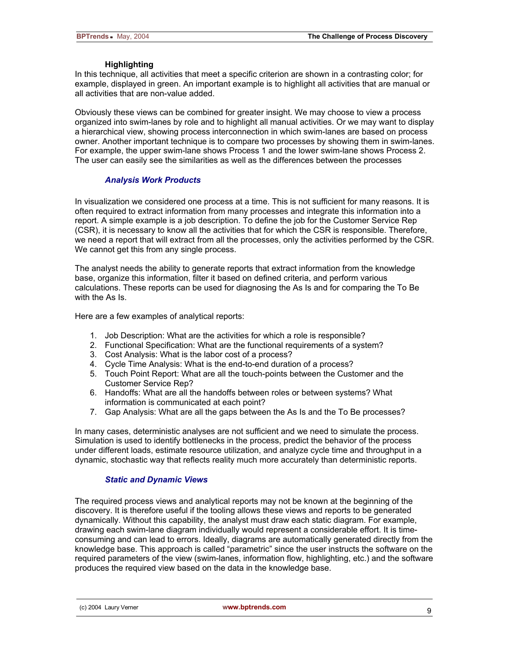# **Highlighting**

In this technique, all activities that meet a specific criterion are shown in a contrasting color; for example, displayed in green. An important example is to highlight all activities that are manual or all activities that are non-value added.

Obviously these views can be combined for greater insight. We may choose to view a process organized into swim-lanes by role and to highlight all manual activities. Or we may want to display a hierarchical view, showing process interconnection in which swim-lanes are based on process owner. Another important technique is to compare two processes by showing them in swim-lanes. For example, the upper swim-lane shows Process 1 and the lower swim-lane shows Process 2. The user can easily see the similarities as well as the differences between the processes

# *Analysis Work Products*

In visualization we considered one process at a time. This is not sufficient for many reasons. It is often required to extract information from many processes and integrate this information into a report. A simple example is a job description. To define the job for the Customer Service Rep (CSR), it is necessary to know all the activities that for which the CSR is responsible. Therefore, we need a report that will extract from all the processes, only the activities performed by the CSR. We cannot get this from any single process.

The analyst needs the ability to generate reports that extract information from the knowledge base, organize this information, filter it based on defined criteria, and perform various calculations. These reports can be used for diagnosing the As Is and for comparing the To Be with the As Is.

Here are a few examples of analytical reports:

- 1. Job Description: What are the activities for which a role is responsible?
- 2. Functional Specification: What are the functional requirements of a system?
- 3. Cost Analysis: What is the labor cost of a process?
- 4. Cycle Time Analysis: What is the end-to-end duration of a process?
- 5. Touch Point Report: What are all the touch-points between the Customer and the Customer Service Rep?
- 6. Handoffs: What are all the handoffs between roles or between systems? What information is communicated at each point?
- 7. Gap Analysis: What are all the gaps between the As Is and the To Be processes?

In many cases, deterministic analyses are not sufficient and we need to simulate the process. Simulation is used to identify bottlenecks in the process, predict the behavior of the process under different loads, estimate resource utilization, and analyze cycle time and throughput in a dynamic, stochastic way that reflects reality much more accurately than deterministic reports.

# *Static and Dynamic Views*

The required process views and analytical reports may not be known at the beginning of the discovery. It is therefore useful if the tooling allows these views and reports to be generated dynamically. Without this capability, the analyst must draw each static diagram. For example, drawing each swim-lane diagram individually would represent a considerable effort. It is timeconsuming and can lead to errors. Ideally, diagrams are automatically generated directly from the knowledge base. This approach is called "parametric" since the user instructs the software on the required parameters of the view (swim-lanes, information flow, highlighting, etc.) and the software produces the required view based on the data in the knowledge base.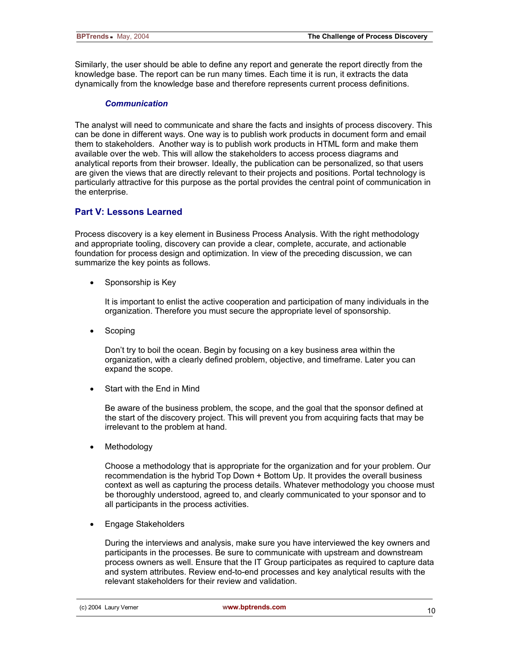Similarly, the user should be able to define any report and generate the report directly from the knowledge base. The report can be run many times. Each time it is run, it extracts the data dynamically from the knowledge base and therefore represents current process definitions.

# *Communication*

The analyst will need to communicate and share the facts and insights of process discovery. This can be done in different ways. One way is to publish work products in document form and email them to stakeholders. Another way is to publish work products in HTML form and make them available over the web. This will allow the stakeholders to access process diagrams and analytical reports from their browser. Ideally, the publication can be personalized, so that users are given the views that are directly relevant to their projects and positions. Portal technology is particularly attractive for this purpose as the portal provides the central point of communication in the enterprise.

# **Part V: Lessons Learned**

Process discovery is a key element in Business Process Analysis. With the right methodology and appropriate tooling, discovery can provide a clear, complete, accurate, and actionable foundation for process design and optimization. In view of the preceding discussion, we can summarize the key points as follows.

• Sponsorship is Key

It is important to enlist the active cooperation and participation of many individuals in the organization. Therefore you must secure the appropriate level of sponsorship.

**Scoping** 

Don't try to boil the ocean. Begin by focusing on a key business area within the organization, with a clearly defined problem, objective, and timeframe. Later you can expand the scope.

Start with the End in Mind

Be aware of the business problem, the scope, and the goal that the sponsor defined at the start of the discovery project. This will prevent you from acquiring facts that may be irrelevant to the problem at hand.

• Methodology

Choose a methodology that is appropriate for the organization and for your problem. Our recommendation is the hybrid Top Down + Bottom Up. It provides the overall business context as well as capturing the process details. Whatever methodology you choose must be thoroughly understood, agreed to, and clearly communicated to your sponsor and to all participants in the process activities.

• Engage Stakeholders

During the interviews and analysis, make sure you have interviewed the key owners and participants in the processes. Be sure to communicate with upstream and downstream process owners as well. Ensure that the IT Group participates as required to capture data and system attributes. Review end-to-end processes and key analytical results with the relevant stakeholders for their review and validation.